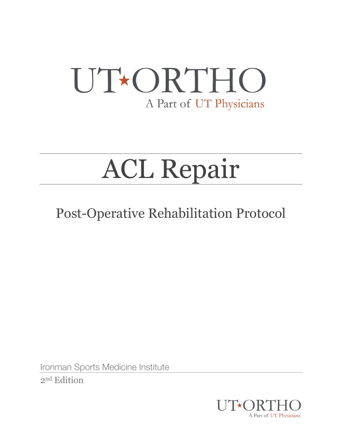## UT\*ORTHO A Part of UT Physicians

# ACL Repair

### Post-Operative Rehabilitation Protocol

Ironman Sports Medicine Institute 2nd Edition

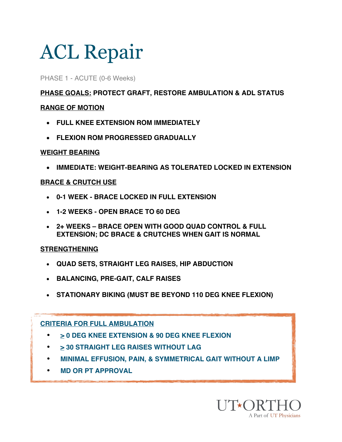PHASE 1 - ACUTE (0-6 Weeks)

**PHASE GOALS: PROTECT GRAFT, RESTORE AMBULATION & ADL STATUS** 

### **RANGE OF MOTION**

- **FULL KNEE EXTENSION ROM IMMEDIATELY**
- **FLEXION ROM PROGRESSED GRADUALLY**

### **WEIGHT BEARING**

• **IMMEDIATE: WEIGHT-BEARING AS TOLERATED LOCKED IN EXTENSION**

### **BRACE & CRUTCH USE**

- **0-1 WEEK - BRACE LOCKED IN FULL EXTENSION**
- **1-2 WEEKS - OPEN BRACE TO 60 DEG**
- **2+ WEEKS – BRACE OPEN WITH GOOD QUAD CONTROL & FULL EXTENSION; DC BRACE & CRUTCHES WHEN GAIT IS NORMAL**

#### **STRENGTHENING**

- **QUAD SETS, STRAIGHT LEG RAISES, HIP ABDUCTION**
- **BALANCING, PRE-GAIT, CALF RAISES**
- **STATIONARY BIKING (MUST BE BEYOND 110 DEG KNEE FLEXION)**

### **CRITERIA FOR FULL AMBULATION**

- • **> 0 DEG KNEE EXTENSION & 90 DEG KNEE FLEXION**
- **> 30 STRAIGHT LEG RAISES WITHOUT LAG**
- **MINIMAL EFFUSION, PAIN, & SYMMETRICAL GAIT WITHOUT A LIMP**
- • **MD OR PT APPROVAL**

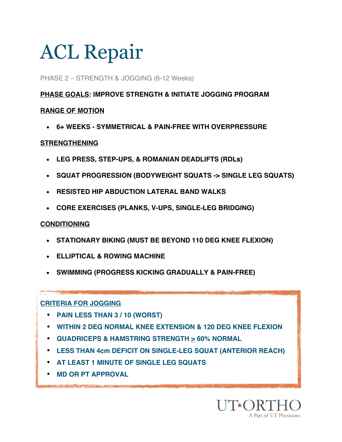### PHASE 2 – STRENGTH & JOGGING (6-12 Weeks)

### **PHASE GOALS: IMPROVE STRENGTH & INITIATE JOGGING PROGRAM**

### **RANGE OF MOTION**

• **6+ WEEKS - SYMMETRICAL & PAIN-FREE WITH OVERPRESSURE**

#### **STRENGTHENING**

- **LEG PRESS, STEP-UPS, & ROMANIAN DEADLIFTS (RDLs)**
- **SQUAT PROGRESSION (BODYWEIGHT SQUATS -> SINGLE LEG SQUATS)**
- **RESISTED HIP ABDUCTION LATERAL BAND WALKS**
- **CORE EXERCISES (PLANKS, V-UPS, SINGLE-LEG BRIDGING)**

### **CONDITIONING**

- **STATIONARY BIKING (MUST BE BEYOND 110 DEG KNEE FLEXION)**
- **ELLIPTICAL & ROWING MACHINE**
- **SWIMMING (PROGRESS KICKING GRADUALLY & PAIN-FREE)**

### **CRITERIA FOR JOGGING**

- **PAIN LESS THAN 3 / 10 (WORST)**
- **WITHIN 2 DEG NORMAL KNEE EXTENSION & 120 DEG KNEE FLEXION**
- **QUADRICEPS & HAMSTRING STRENGTH > 60% NORMAL**
- **LESS THAN 4cm DEFICIT ON SINGLE-LEG SQUAT (ANTERIOR REACH)**
- **AT LEAST 1 MINUTE OF SINGLE LEG SQUATS**
- **MD OR PT APPROVAL**

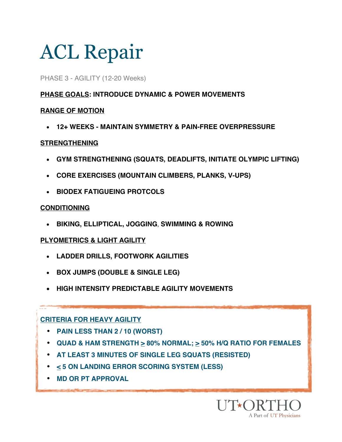#### PHASE 3 - AGILITY (12-20 Weeks)

### **PHASE GOALS: INTRODUCE DYNAMIC & POWER MOVEMENTS**

### **RANGE OF MOTION**

• **12+ WEEKS - MAINTAIN SYMMETRY & PAIN-FREE OVERPRESSURE**

### **STRENGTHENING**

- **GYM STRENGTHENING (SQUATS, DEADLIFTS, INITIATE OLYMPIC LIFTING)**
- **CORE EXERCISES (MOUNTAIN CLIMBERS, PLANKS, V-UPS)**
- **BIODEX FATIGUEING PROTCOLS**

### **CONDITIONING**

• **BIKING, ELLIPTICAL, JOGGING**, **SWIMMING & ROWING**

### **PLYOMETRICS & LIGHT AGILITY**

- **LADDER DRILLS, FOOTWORK AGILITIES**
- **BOX JUMPS (DOUBLE & SINGLE LEG)**
- **HIGH INTENSITY PREDICTABLE AGILITY MOVEMENTS**

### **CRITERIA FOR HEAVY AGILITY**

- **PAIN LESS THAN 2 / 10 (WORST)**
- **QUAD & HAM STRENGTH > 80% NORMAL; > 50% H/Q RATIO FOR FEMALES**
- **AT LEAST 3 MINUTES OF SINGLE LEG SQUATS (RESISTED)**
- **< 5 ON LANDING ERROR SCORING SYSTEM (LESS)**
- **MD OR PT APPROVAL**